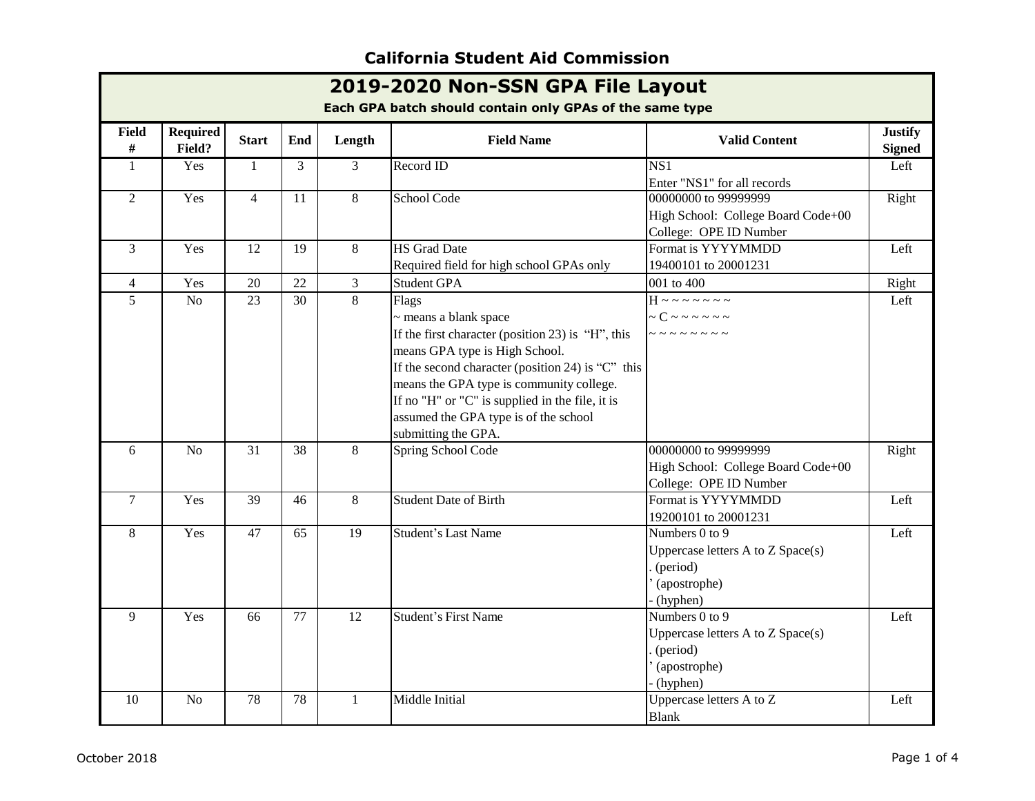| 2019-2020 Non-SSN GPA File Layout<br>Each GPA batch should contain only GPAs of the same type |                           |                |                 |                |                                                                                                                                                                                                                                                                                                                                               |                                                                                                   |                                 |  |
|-----------------------------------------------------------------------------------------------|---------------------------|----------------|-----------------|----------------|-----------------------------------------------------------------------------------------------------------------------------------------------------------------------------------------------------------------------------------------------------------------------------------------------------------------------------------------------|---------------------------------------------------------------------------------------------------|---------------------------------|--|
| <b>Field</b><br>#                                                                             | <b>Required</b><br>Field? | <b>Start</b>   | End             | Length         | <b>Field Name</b>                                                                                                                                                                                                                                                                                                                             | <b>Valid Content</b>                                                                              | <b>Justify</b><br><b>Signed</b> |  |
| $\mathbf{1}$                                                                                  | Yes                       | 1              | 3               | $\overline{3}$ | Record ID                                                                                                                                                                                                                                                                                                                                     | $\overline{\text{NS1}}$<br>Enter "NS1" for all records                                            | Left                            |  |
| 2                                                                                             | Yes                       | $\overline{4}$ | 11              | 8              | School Code                                                                                                                                                                                                                                                                                                                                   | 00000000 to 99999999<br>High School: College Board Code+00<br>College: OPE ID Number              | Right                           |  |
| 3                                                                                             | Yes                       | 12             | 19              | $\,8\,$        | <b>HS</b> Grad Date<br>Required field for high school GPAs only                                                                                                                                                                                                                                                                               | Format is YYYYMMDD<br>19400101 to 20001231                                                        | Left                            |  |
| $\overline{4}$                                                                                | Yes                       | 20             | 22              | $\overline{3}$ | <b>Student GPA</b>                                                                                                                                                                                                                                                                                                                            | 001 to 400                                                                                        | Right                           |  |
| 5                                                                                             | N <sub>o</sub>            | 23             | $\overline{30}$ | $8\,$          | Flags<br>~ means a blank space<br>If the first character (position 23) is "H", this<br>means GPA type is High School.<br>If the second character (position 24) is " $C$ " this<br>means the GPA type is community college.<br>If no "H" or "C" is supplied in the file, it is<br>assumed the GPA type is of the school<br>submitting the GPA. | $H \sim 22222$<br>$\sim C \sim 0.0000$<br>--------                                                | Left                            |  |
| 6                                                                                             | N <sub>o</sub>            | 31             | 38              | 8              | Spring School Code                                                                                                                                                                                                                                                                                                                            | 00000000 to 99999999<br>High School: College Board Code+00<br>College: OPE ID Number              | Right                           |  |
| $\tau$                                                                                        | Yes                       | 39             | 46              | 8              | <b>Student Date of Birth</b>                                                                                                                                                                                                                                                                                                                  | Format is YYYYMMDD<br>19200101 to 20001231                                                        | Left                            |  |
| 8                                                                                             | Yes                       | 47             | 65              | 19             | <b>Student's Last Name</b>                                                                                                                                                                                                                                                                                                                    | Numbers 0 to 9<br>Uppercase letters A to Z Space(s)<br>. (period)<br>' (apostrophe)<br>- (hyphen) | Left                            |  |
| 9                                                                                             | Yes                       | 66             | 77              | 12             | <b>Student's First Name</b>                                                                                                                                                                                                                                                                                                                   | Numbers 0 to 9<br>Uppercase letters A to Z Space(s)<br>(period)<br>(apostrophe)<br>(hyphen)       | Left                            |  |
| 10                                                                                            | N <sub>o</sub>            | 78             | 78              | 1              | Middle Initial                                                                                                                                                                                                                                                                                                                                | Uppercase letters $\overline{A}$ to $\overline{Z}$<br><b>Blank</b>                                | Left                            |  |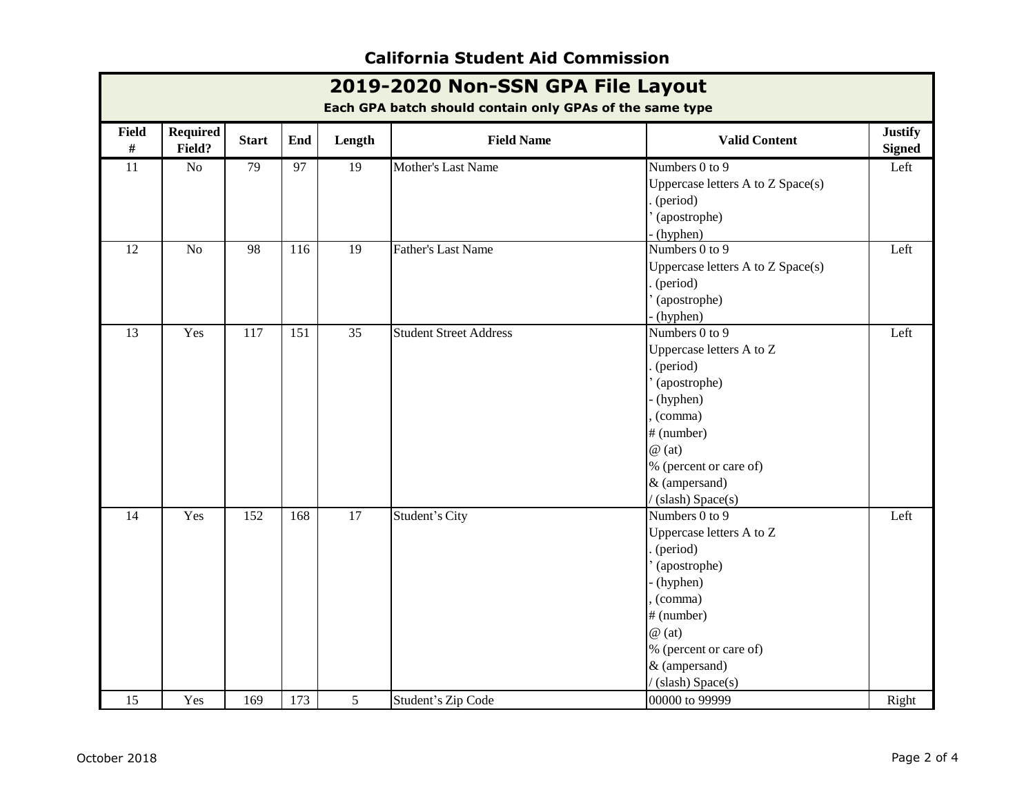| 2019-2020 Non-SSN GPA File Layout<br>Each GPA batch should contain only GPAs of the same type |                           |              |     |                 |                               |                                                                                                                                                                                               |                                 |  |
|-----------------------------------------------------------------------------------------------|---------------------------|--------------|-----|-----------------|-------------------------------|-----------------------------------------------------------------------------------------------------------------------------------------------------------------------------------------------|---------------------------------|--|
| <b>Field</b><br>#                                                                             | <b>Required</b><br>Field? | <b>Start</b> | End | Length          | <b>Field Name</b>             | <b>Valid Content</b>                                                                                                                                                                          | <b>Justify</b><br><b>Signed</b> |  |
| 11                                                                                            | No                        | 79           | 97  | 19              | Mother's Last Name            | Numbers 0 to 9<br>Uppercase letters A to Z Space(s)<br>(period)<br>(apostrophe)<br>(hyphen)                                                                                                   | Left                            |  |
| $\overline{12}$                                                                               | N <sub>o</sub>            | 98           | 116 | $\overline{19}$ | <b>Father's Last Name</b>     | Numbers 0 to 9<br>Uppercase letters A to Z Space(s)<br>(period)<br>(apostrophe)<br>(hyphen)                                                                                                   | Left                            |  |
| 13                                                                                            | Yes                       | 117          | 151 | 35              | <b>Student Street Address</b> | Numbers 0 to 9<br>Uppercase letters A to Z<br>(period)<br>(apostrophe)<br>(hyphen)<br>(comma)<br># (number)<br>$\omega$ (at)<br>% (percent or care of)<br>& (ampersand)<br>/(slash) Space(s)  | Left                            |  |
| 14                                                                                            | Yes                       | 152          | 168 | 17              | Student's City                | Numbers 0 to 9<br>Uppercase letters A to Z<br>(period)<br>(apostrophe)<br>- (hyphen)<br>(comma)<br># (number)<br>$\omega$ (at)<br>% (percent or care of)<br>& (ampersand)<br>(slash) Space(s) | Left                            |  |
| 15                                                                                            | Yes                       | 169          | 173 | 5               | Student's Zip Code            | 00000 to 99999                                                                                                                                                                                | Right                           |  |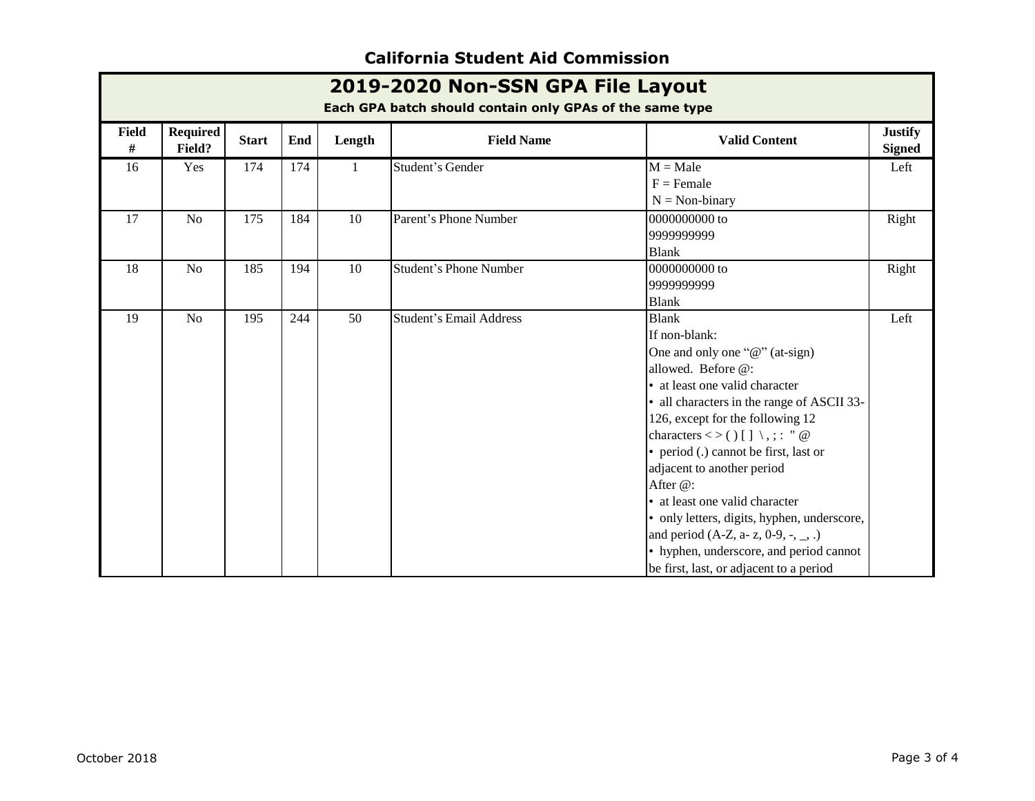| 2019-2020 Non-SSN GPA File Layout<br>Each GPA batch should contain only GPAs of the same type |                           |              |     |        |                                |                                                                                                                                                                                                                                                                                                                                                                                                                                                                                                                                                 |                                 |  |
|-----------------------------------------------------------------------------------------------|---------------------------|--------------|-----|--------|--------------------------------|-------------------------------------------------------------------------------------------------------------------------------------------------------------------------------------------------------------------------------------------------------------------------------------------------------------------------------------------------------------------------------------------------------------------------------------------------------------------------------------------------------------------------------------------------|---------------------------------|--|
| Field<br>#                                                                                    | <b>Required</b><br>Field? | <b>Start</b> | End | Length | <b>Field Name</b>              | <b>Valid Content</b>                                                                                                                                                                                                                                                                                                                                                                                                                                                                                                                            | <b>Justify</b><br><b>Signed</b> |  |
| 16                                                                                            | Yes                       | 174          | 174 | 1      | Student's Gender               | $M = Male$<br>$F =$ Female<br>$N = Non-binary$                                                                                                                                                                                                                                                                                                                                                                                                                                                                                                  | Left                            |  |
| 17                                                                                            | N <sub>o</sub>            | 175          | 184 | 10     | Parent's Phone Number          | 0000000000 to<br>9999999999<br><b>Blank</b>                                                                                                                                                                                                                                                                                                                                                                                                                                                                                                     | Right                           |  |
| 18                                                                                            | N <sub>o</sub>            | 185          | 194 | 10     | <b>Student's Phone Number</b>  | 0000000000 to<br>9999999999<br><b>Blank</b>                                                                                                                                                                                                                                                                                                                                                                                                                                                                                                     | Right                           |  |
| 19                                                                                            | N <sub>o</sub>            | 195          | 244 | 50     | <b>Student's Email Address</b> | <b>Blank</b><br>If non-blank:<br>One and only one " $@$ " (at-sign)<br>allowed. Before @:<br>• at least one valid character<br>• all characters in the range of ASCII 33-<br>126, except for the following 12<br>characters <> ()[] \,; : " @<br>• period (.) cannot be first, last or<br>adjacent to another period<br>After @:<br>• at least one valid character<br>• only letters, digits, hyphen, underscore,<br>and period (A-Z, a- z, 0-9, -, _, .)<br>• hyphen, underscore, and period cannot<br>be first, last, or adjacent to a period | Left                            |  |